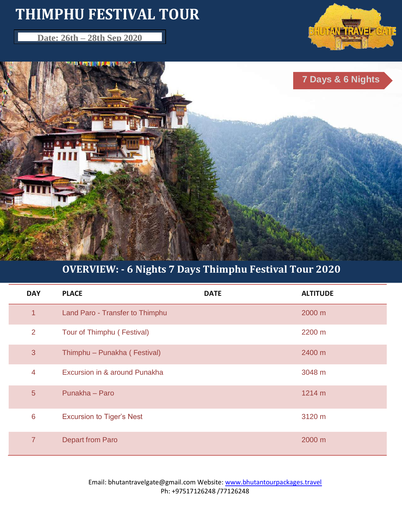# **THIMPHU FESTIVAL TOUR**

**Date: 26th – 28th Sep <b>2020** 





# **OVERVIEW: - 6 Nights 7 Days Thimphu Festival Tour 2020**

| <b>DAY</b>      | <b>PLACE</b>                     | <b>DATE</b> | <b>ALTITUDE</b> |
|-----------------|----------------------------------|-------------|-----------------|
| $\overline{1}$  | Land Paro - Transfer to Thimphu  |             | 2000 m          |
| 2               | Tour of Thimphu (Festival)       |             | 2200 m          |
| 3               | Thimphu - Punakha (Festival)     |             | 2400 m          |
| $\overline{4}$  | Excursion in & around Punakha    |             | 3048 m          |
| 5 <sup>5</sup>  | Punakha - Paro                   |             | 1214 m          |
| $6\phantom{1}6$ | <b>Excursion to Tiger's Nest</b> |             | 3120 m          |
| $\overline{7}$  | <b>Depart from Paro</b>          |             | 2000 m          |

Email: bhutantravelgate@gmail.com Website: www.bhutantourpackages.travel Ph: +97517126248 /77126248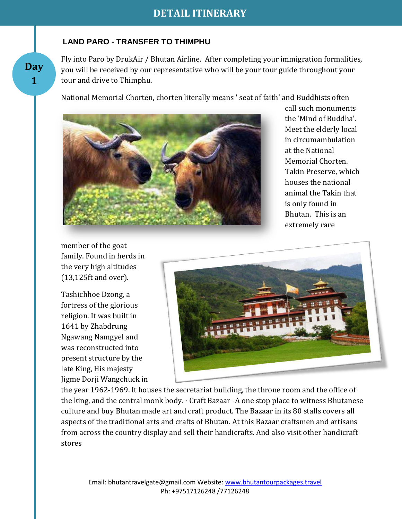#### **LAND PARO - TRANSFER TO THIMPHU**

**Day 1**

Fly into Paro by DrukAir / Bhutan Airline. After completing your immigration formalities, you will be received by our representative who will be your tour guide throughout your tour and drive to Thimphu.

National Memorial Chorten, chorten literally means ' seat of faith' and Buddhists often



call such monuments the 'Mind of Buddha'. Meet the elderly local in circumambulation at the National Memorial Chorten. Takin Preserve, which houses the national animal the Takin that is only found in Bhutan. This is an extremely rare

member of the goat family. Found in herds in the very high altitudes (13,125ft and over).

Tashichhoe Dzong, a fortress of the glorious religion. It was built in 1641 by Zhabdrung Ngawang Namgyel and was reconstructed into present structure by the late King, His majesty Jigme Dorji Wangchuck in



the year 1962-1969. It houses the secretariat building, the throne room and the office of the king, and the central monk body. · Craft Bazaar -A one stop place to witness Bhutanese culture and buy Bhutan made art and craft product. The Bazaar in its 80 stalls covers all aspects of the traditional arts and crafts of Bhutan. At this Bazaar craftsmen and artisans from across the country display and sell their handicrafts. And also visit other handicraft stores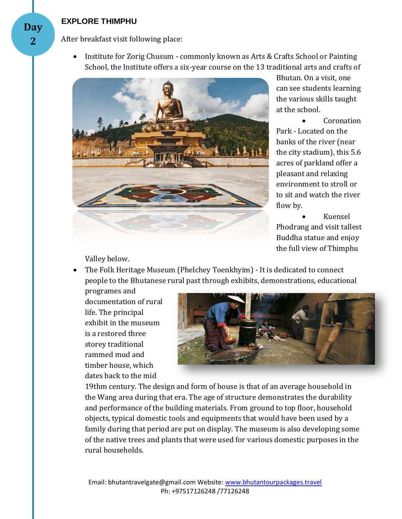#### **EXPLORE THIMPHU**

After breakfast visit following place:

 Institute for Zorig Chusum - commonly known as Arts & Crafts School or Painting School, the Institute offers a six-year course on the 13 traditional arts and crafts of



Bhutan. On a visit, one can see students learning the various skills taught at the school.

**Coronation** Park - Located on the banks of the river (near the city stadium), this 5.6 acres of parkland offer a pleasant and relaxing environment to stroll or to sit and watch the river flow by.

 Kuensel Phodrang and visit tallest Buddha statue and enjoy the full view of Thimphu

Valley below.

• The Folk Heritage Museum (Phelchey Toenkhyim) - It is dedicated to connect people to the Bhutanese rural past through exhibits, demonstrations, educational

programes and documentation of rural life. The principal exhibit in the museum is a restored three storey traditional rammed mud and timber house, which dates back to the mid



19thm century. The design and form of house is that of an average household in the Wang area during that era. The age of structure demonstrates the durability and performance of the building materials. From ground to top floor, household objects, typical domestic tools and equipments that would have been used by a family during that period are put on display. The museum is also developing some of the native trees and plants that were used for various domestic purposes in the rural households.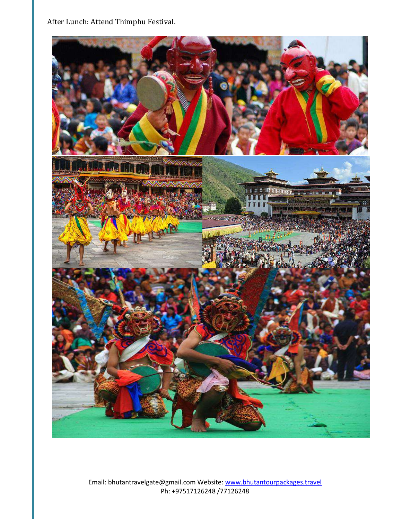After Lunch: Attend Thimphu Festival.



Email: bhutantravelgate@gmail.com Website: www.bhutantourpackages.travel Ph: +97517126248 /77126248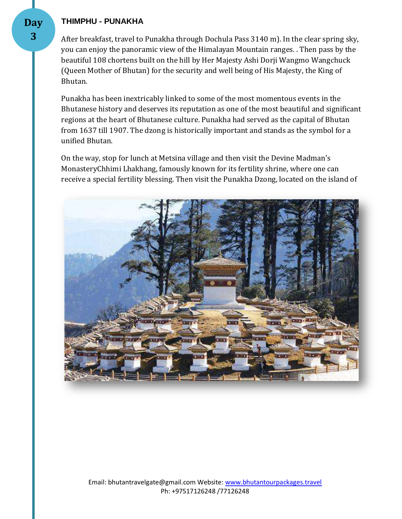#### **THIMPHU - PUNAKHA**

After breakfast, travel to Punakha through Dochula Pass 3140 m). In the clear spring sky, you can enjoy the panoramic view of the Himalayan Mountain ranges. . Then pass by the beautiful 108 chortens built on the hill by Her Majesty Ashi Dorji Wangmo Wangchuck (Queen Mother of Bhutan) for the security and well being of His Majesty, the King of Bhutan.

Punakha has been inextricably linked to some of the most momentous events in the Bhutanese history and deserves its reputation as one of the most beautiful and significant regions at the heart of Bhutanese culture. Punakha had served as the capital of Bhutan from 1637 till 1907. The dzong is historically important and stands as the symbol for a unified Bhutan.

On the way, stop for lunch at Metsina village and then visit the Devine Madman's MonasteryChhimi Lhakhang, famously known for its fertility shrine, where one can receive a special fertility blessing. Then visit the Punakha Dzong, located on the island of

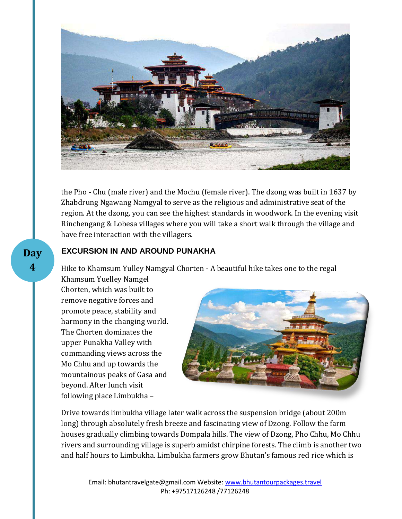

the Pho - Chu (male river) and the Mochu (female river). The dzong was built in 1637 by Zhabdrung Ngawang Namgyal to serve as the religious and administrative seat of the region. At the dzong, you can see the highest standards in woodwork. In the evening visit Rinchengang & Lobesa villages where you will take a short walk through the village and have free interaction with the villagers.

#### **EXCURSION IN AND AROUND PUNAKHA**

Hike to Khamsum Yulley Namgyal Chorten - A beautiful hike takes one to the regal

Khamsum Yuelley Namgel Chorten, which was built to remove negative forces and promote peace, stability and harmony in the changing world. The Chorten dominates the upper Punakha Valley with commanding views across the Mo Chhu and up towards the mountainous peaks of Gasa and beyond. After lunch visit following place Limbukha –



Drive towards limbukha village later walk across the suspension bridge (about 200m long) through absolutely fresh breeze and fascinating view of Dzong. Follow the farm houses gradually climbing towards Dompala hills. The view of Dzong, Pho Chhu, Mo Chhu rivers and surrounding village is superb amidst chirpine forests. The climb is another two and half hours to Limbukha. Limbukha farmers grow Bhutan's famous red rice which is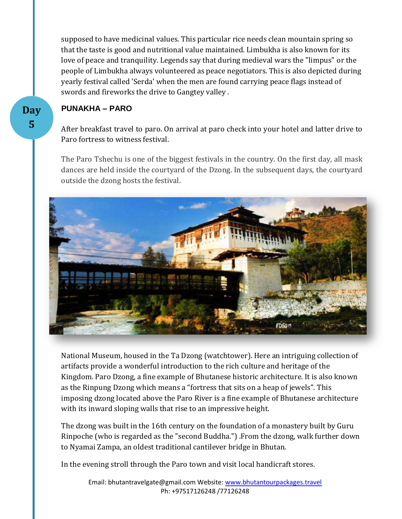supposed to have medicinal values. This particular rice needs clean mountain spring so that the taste is good and nutritional value maintained. Limbukha is also known for its love of peace and tranquility. Legends say that during medieval wars the "limpus" or the people of Limbukha always volunteered as peace negotiators. This is also depicted during yearly festival called 'Serda' when the men are found carrying peace flags instead of swords and fireworks the drive to Gangtey valley .

#### **PUNAKHA – PARO**

After breakfast travel to paro. On arrival at paro check into your hotel and latter drive to Paro fortress to witness festival.

The Paro Tshechu is one of the biggest festivals in the country. On the first day, all mask dances are held inside the courtyard of the Dzong. In the subsequent days, the courtyard outside the dzong hosts the festival.



National Museum, housed in the Ta Dzong (watchtower). Here an intriguing collection of artifacts provide a wonderful introduction to the rich culture and heritage of the Kingdom. Paro Dzong, a fine example of Bhutanese historic architecture. It is also known as the Rinpung Dzong which means a "fortress that sits on a heap of jewels". This imposing dzong located above the Paro River is a fine example of Bhutanese architecture with its inward sloping walls that rise to an impressive height.

The dzong was built in the 16th century on the foundation of a monastery built by Guru Rinpoche (who is regarded as the "second Buddha.") .From the dzong, walk further down to Nyamai Zampa, an oldest traditional cantilever bridge in Bhutan.

In the evening stroll through the Paro town and visit local handicraft stores.

Email: bhutantravelgate@gmail.com Website: www.bhutantourpackages.travel Ph: +97517126248 /77126248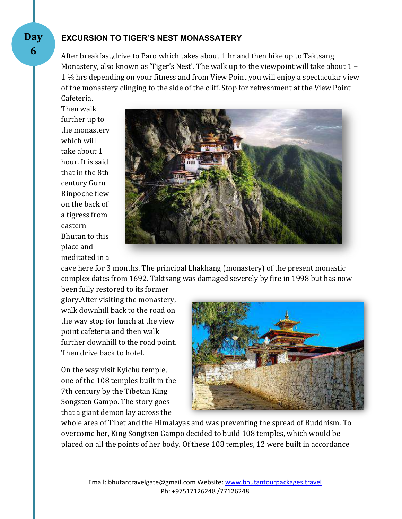#### **EXCURSION TO TIGER'S NEST MONASSATERY**

After breakfast,drive to Paro which takes about 1 hr and then hike up to Taktsang Monastery, also known as 'Tiger's Nest'. The walk up to the viewpoint will take about 1 – 1 ½ hrs depending on your fitness and from View Point you will enjoy a spectacular view of the monastery clinging to the side of the cliff. Stop for refreshment at the View Point Cafeteria.

Then walk further up to the monastery which will take about 1 hour. It is said that in the 8th century Guru Rinpoche flew on the back of a tigress from eastern Bhutan to this place and meditated in a



cave here for 3 months. The principal Lhakhang (monastery) of the present monastic complex dates from 1692. Taktsang was damaged severely by fire in 1998 but has now

been fully restored to its former glory.After visiting the monastery, walk downhill back to the road on the way stop for lunch at the view point cafeteria and then walk further downhill to the road point. Then drive back to hotel.

On the way visit Kyichu temple, one of the 108 temples built in the 7th century by the Tibetan King Songsten Gampo. The story goes that a giant demon lay across the



whole area of Tibet and the Himalayas and was preventing the spread of Buddhism. To overcome her, King Songtsen Gampo decided to build 108 temples, which would be placed on all the points of her body. Of these 108 temples, 12 were built in accordance